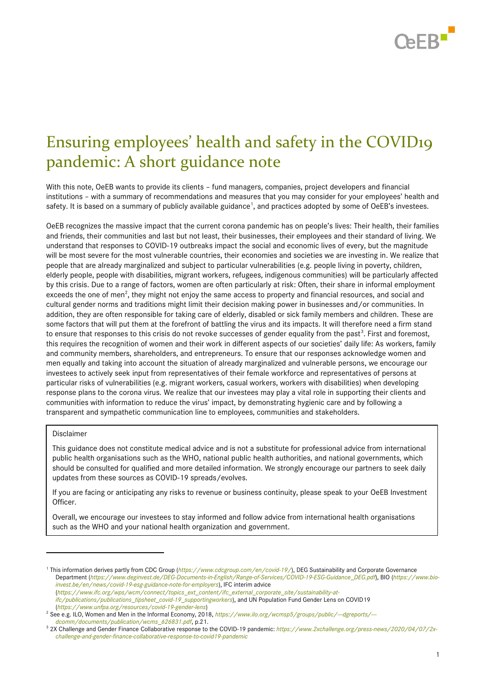

# Ensuring employees' health and safety in the COVID19 pandemic: A short guidance note

With this note, OeEB wants to provide its clients – fund managers, companies, project developers and financial institutions – with a summary of recommendations and measures that you may consider for your employees' health and safety. It is based on a summary of publicly available guidance<sup>1</sup>, and practices adopted by some of OeEB's investees.

OeEB recognizes the massive impact that the current corona pandemic has on people's lives: Their health, their families and friends, their communities and last but not least, their businesses, their employees and their standard of living. We understand that responses to COVID-19 outbreaks impact the social and economic lives of every, but the magnitude will be most severe for the most vulnerable countries, their economies and societies we are investing in. We realize that people that are already marginalized and subject to particular vulnerabilities (e.g. people living in poverty, children, elderly people, people with disabilities, migrant workers, refugees, indigenous communities) will be particularly affected by this crisis. Due to a range of factors, women are often particularly at risk: Often, their share in informal employment exceeds the one of men<sup>2</sup>, they might not enjoy the same access to property and financial resources, and social and cultural gender norms and traditions might limit their decision making power in businesses and/or communities. In addition, they are often responsible for taking care of elderly, disabled or sick family members and children. These are some factors that will put them at the forefront of battling the virus and its impacts. It will therefore need a firm stand to ensure that responses to this crisis do not revoke successes of gender equality from the past<sup>3</sup>. First and foremost, this requires the recognition of women and their work in different aspects of our societies' daily life: As workers, family and community members, shareholders, and entrepreneurs. To ensure that our responses acknowledge women and men equally and taking into account the situation of already marginalized and vulnerable persons, we encourage our investees to actively seek input from representatives of their female workforce and representatives of persons at particular risks of vulnerabilities (e.g. migrant workers, casual workers, workers with disabilities) when developing response plans to the corona virus. We realize that our investees may play a vital role in supporting their clients and communities with information to reduce the virus' impact, by demonstrating hygienic care and by following a transparent and sympathetic communication line to employees, communities and stakeholders.

#### Disclaimer

-

This guidance does not constitute medical advice and is not a substitute for professional advice from international public health organisations such as the WHO, national public health authorities, and national governments, which should be consulted for qualified and more detailed information. We strongly encourage our partners to seek daily updates from these sources as COVID-19 spreads/evolves.

If you are facing or anticipating any risks to revenue or business continuity, please speak to your OeEB Investment Officer.

Overall, we encourage our investees to stay informed and follow advice from international health organisations such as the WHO and your national health organization and government.

*[ifc/publications/publications\\_tipsheet\\_covid-19\\_supportingworkers](https://www.ifc.org/wps/wcm/connect/topics_ext_content/ifc_external_corporate_site/sustainability-at-ifc/publications/publications_tipsheet_covid-19_supportingworkers)*), and UN Population Fund Gender Lens on COVID19 (*<https://www.unfpa.org/resources/covid-19-gender-lens>*)

<sup>&</sup>lt;sup>1</sup> This information derives partly from CDC Group (*<https://www.cdcgroup.com/en/covid-19/>*), DEG Sustainability and Corporate Governance Department (*[https://www.deginvest.de/DEG-Documents-in-English/Range-of-Services/COVID-19-ESG-Guidance\\_DEG.pdf](https://www.deginvest.de/DEG-Documents-in-English/Range-of-Services/COVID-19-ESG-Guidance_DEG.pdf)*), BIO (*[https://www.bio](https://www.bio-invest.be/en/news/covid-19-esg-guidance-note-for-employers)[invest.be/en/news/covid-19-esg-guidance-note-for-employers](https://www.bio-invest.be/en/news/covid-19-esg-guidance-note-for-employers)*), IFC interim advice (*[https://www.ifc.org/wps/wcm/connect/topics\\_ext\\_content/ifc\\_external\\_corporate\\_site/sustainability-at-](https://www.ifc.org/wps/wcm/connect/topics_ext_content/ifc_external_corporate_site/sustainability-at-ifc/publications/publications_tipsheet_covid-19_supportingworkers)*

<sup>&</sup>lt;sup>2</sup> See e.g. ILO, Women and Men in the Informal Economy, 2018, https://www.ilo.org/wcmsp5/groups/public/--dgreports/-*[dcomm/documents/publication/wcms\\_626831.pdf](https://www.ilo.org/wcmsp5/groups/public/---dgreports/---dcomm/documents/publication/wcms_626831.pdf)*, p.21.

<sup>&</sup>lt;sup>3</sup> 2X Challenge and Gender Finance Collaborative response to the COVID-19 pandemic: [https://www.2xchallenge.org/press-news/2020/04/07/2x](https://www.2xchallenge.org/press-news/2020/04/07/2x-challenge-and-gender-finance-collaborative-response-to-covid19-pandemic)*[challenge-and-gender-finance-collaborative-response-to-covid19-pandemic](https://www.2xchallenge.org/press-news/2020/04/07/2x-challenge-and-gender-finance-collaborative-response-to-covid19-pandemic)*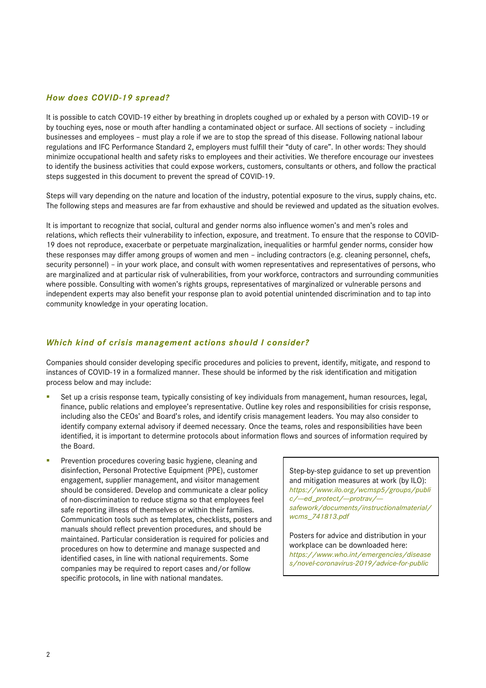## *How does COVID-19 spread?*

It is possible to catch COVID-19 either by breathing in droplets coughed up or exhaled by a person with COVID-19 or by touching eyes, nose or mouth after handling a contaminated object or surface. All sections of society – including businesses and employees – must play a role if we are to stop the spread of this disease. Following national labour regulations and IFC Performance Standard 2, employers must fulfill their "duty of care". In other words: They should minimize occupational health and safety risks to employees and their activities. We therefore encourage our investees to identify the business activities that could expose workers, customers, consultants or others, and follow the practical steps suggested in this document to prevent the spread of COVID-19.

Steps will vary depending on the nature and location of the industry, potential exposure to the virus, supply chains, etc. The following steps and measures are far from exhaustive and should be reviewed and updated as the situation evolves.

It is important to recognize that social, cultural and gender norms also influence women's and men's roles and relations, which reflects their vulnerability to infection, exposure, and treatment. To ensure that the response to COVID-19 does not reproduce, exacerbate or perpetuate marginalization, inequalities or harmful gender norms, consider how these responses may differ among groups of women and men – including contractors (e.g. cleaning personnel, chefs, security personnel) – in your work place, and consult with women representatives and representatives of persons, who are marginalized and at particular risk of vulnerabilities, from your workforce, contractors and surrounding communities where possible. Consulting with women's rights groups, representatives of marginalized or vulnerable persons and independent experts may also benefit your response plan to avoid potential unintended discrimination and to tap into community knowledge in your operating location.

#### *Which kind of crisis management actions should I consider?*

Companies should consider developing specific procedures and policies to prevent, identify, mitigate, and respond to instances of COVID-19 in a formalized manner. These should be informed by the risk identification and mitigation process below and may include:

- Set up a crisis response team, typically consisting of key individuals from management, human resources, legal, finance, public relations and employee's representative. Outline key roles and responsibilities for crisis response, including also the CEOs' and Board's roles, and identify crisis management leaders. You may also consider to identify company external advisory if deemed necessary. Once the teams, roles and responsibilities have been identified, it is important to determine protocols about information flows and sources of information required by the Board.
- Prevention procedures covering basic hygiene, cleaning and disinfection, Personal Protective Equipment (PPE), customer engagement, supplier management, and visitor management should be considered. Develop and communicate a clear policy of non-discrimination to reduce stigma so that employees feel safe reporting illness of themselves or within their families. Communication tools such as templates, checklists, posters and manuals should reflect prevention procedures, and should be maintained. Particular consideration is required for policies and procedures on how to determine and manage suspected and identified cases, in line with national requirements. Some companies may be required to report cases and/or follow specific protocols, in line with national mandates.

Step-by-step guidance to set up prevention and mitigation measures at work (by ILO): *[https://www.ilo.org/wcmsp5/groups/publi](https://www.ilo.org/wcmsp5/groups/public/---ed_protect/---protrav/---safework/documents/instructionalmaterial/wcms_741813.pdf) [c/---ed\\_protect/---protrav/--](https://www.ilo.org/wcmsp5/groups/public/---ed_protect/---protrav/---safework/documents/instructionalmaterial/wcms_741813.pdf) [safework/documents/instructionalmaterial/](https://www.ilo.org/wcmsp5/groups/public/---ed_protect/---protrav/---safework/documents/instructionalmaterial/wcms_741813.pdf) [wcms\\_741813.pdf](https://www.ilo.org/wcmsp5/groups/public/---ed_protect/---protrav/---safework/documents/instructionalmaterial/wcms_741813.pdf)*

Posters for advice and distribution in your workplace can be downloaded here: *[https://www.who.int/emergencies/disease](https://www.who.int/emergencies/diseases/novel-coronavirus-2019/advice-for-public) [s/novel-coronavirus-2019/advice-for-public](https://www.who.int/emergencies/diseases/novel-coronavirus-2019/advice-for-public)*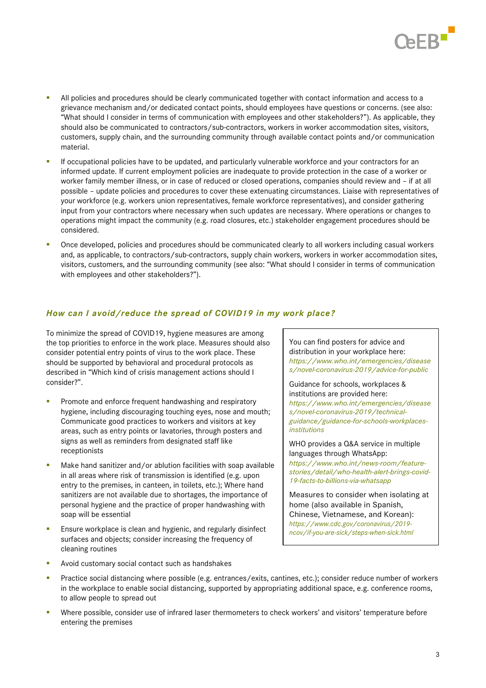

- **•** All policies and procedures should be clearly communicated together with contact information and access to a grievance mechanism and/or dedicated contact points, should employees have questions or concerns. (see also: "What should I consider in terms of communication with employees and other stakeholders?"). As applicable, they should also be communicated to contractors/sub-contractors, workers in worker accommodation sites, visitors, customers, supply chain, and the surrounding community through available contact points and/or communication material.
- If occupational policies have to be updated, and particularly vulnerable workforce and your contractors for an informed update. If current employment policies are inadequate to provide protection in the case of a worker or worker family member illness, or in case of reduced or closed operations, companies should review and – if at all possible – update policies and procedures to cover these extenuating circumstances. Liaise with representatives of your workforce (e.g. workers union representatives, female workforce representatives), and consider gathering input from your contractors where necessary when such updates are necessary. Where operations or changes to operations might impact the community (e.g. road closures, etc.) stakeholder engagement procedures should be considered.
- Once developed, policies and procedures should be communicated clearly to all workers including casual workers and, as applicable, to contractors/sub-contractors, supply chain workers, workers in worker accommodation sites, visitors, customers, and the surrounding community (see also: "What should I consider in terms of communication with employees and other stakeholders?").

# *How can I avoid/reduce the spread of COVID19 in my work place?*

To minimize the spread of COVID19, hygiene measures are among the top priorities to enforce in the work place. Measures should also consider potential entry points of virus to the work place. These should be supported by behavioral and procedural protocols as described in "Which kind of crisis management actions should I consider?".

- Promote and enforce frequent handwashing and respiratory hygiene, including discouraging touching eyes, nose and mouth; Communicate good practices to workers and visitors at key areas, such as entry points or lavatories, through posters and signs as well as reminders from designated staff like receptionists
- Make hand sanitizer and/or ablution facilities with soap available in all areas where risk of transmission is identified (e.g. upon entry to the premises, in canteen, in toilets, etc.); Where hand sanitizers are not available due to shortages, the importance of personal hygiene and the practice of proper handwashing with soap will be essential
- Ensure workplace is clean and hygienic, and regularly disinfect surfaces and objects; consider increasing the frequency of cleaning routines

You can find posters for advice and distribution in your workplace here: *[https://www.who.int/emergencies/disease](https://www.who.int/emergencies/diseases/novel-coronavirus-2019/advice-for-public) [s/novel-coronavirus-2019/advice-for-public](https://www.who.int/emergencies/diseases/novel-coronavirus-2019/advice-for-public)*

Guidance for schools, workplaces & institutions are provided here: *https://www.who.int/emergencies/disease s/novel-coronavirus-2019/technicalguidance/guidance-for-schools-workplacesinstitutions*

WHO provides a Q&A service in multiple languages through WhatsApp: *[https://www.who.int/news-room/feature](https://www.who.int/news-room/feature-stories/detail/who-health-alert-brings-covid-19-facts-to-billions-via-whatsapp)[stories/detail/who-health-alert-brings-covid-](https://www.who.int/news-room/feature-stories/detail/who-health-alert-brings-covid-19-facts-to-billions-via-whatsapp)[19-facts-to-billions-via-whatsapp](https://www.who.int/news-room/feature-stories/detail/who-health-alert-brings-covid-19-facts-to-billions-via-whatsapp)*

Measures to consider when isolating at home (also available in Spanish, Chinese, Vietnamese, and Korean): *[https://www.cdc.gov/coronavirus/2019](https://www.cdc.gov/coronavirus/2019-ncov/if-you-are-sick/steps-when-sick.html) [ncov/if-you-are-sick/steps-when-sick.html](https://www.cdc.gov/coronavirus/2019-ncov/if-you-are-sick/steps-when-sick.html)*

- Avoid customary social contact such as handshakes
- Practice social distancing where possible (e.g. entrances/exits, cantines, etc.); consider reduce number of workers in the workplace to enable social distancing, supported by appropriating additional space, e.g. conference rooms, to allow people to spread out
- Where possible, consider use of infrared laser thermometers to check workers' and visitors' temperature before entering the premises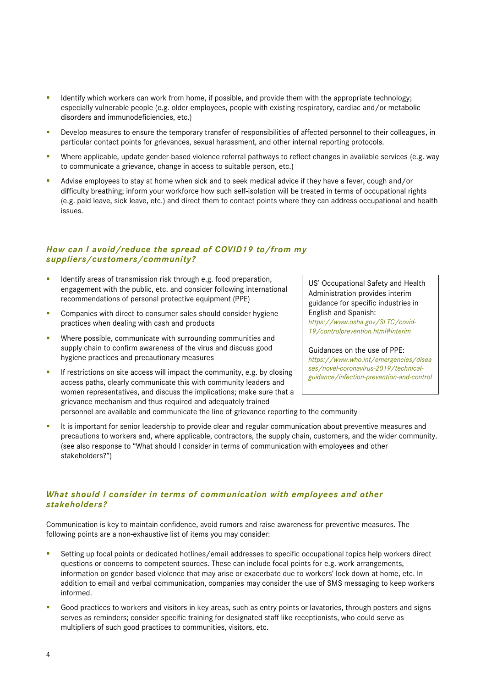- **E** Identify which workers can work from home, if possible, and provide them with the appropriate technology; especially vulnerable people (e.g. older employees, people with existing respiratory, cardiac and/or metabolic disorders and immunodeficiencies, etc.)
- Develop measures to ensure the temporary transfer of responsibilities of affected personnel to their colleagues, in particular contact points for grievances, sexual harassment, and other internal reporting protocols.
- Where applicable, update gender-based violence referral pathways to reflect changes in available services (e.g. way to communicate a grievance, change in access to suitable person, etc.)
- Advise employees to stay at home when sick and to seek medical advice if they have a fever, cough and/or difficulty breathing; inform your workforce how such self-isolation will be treated in terms of occupational rights (e.g. paid leave, sick leave, etc.) and direct them to contact points where they can address occupational and health issues.

# *How can I avoid/reduce the spread of COVID19 to/from my suppliers/customers/community?*

- Identify areas of transmission risk through e.g. food preparation, engagement with the public, etc. and consider following international recommendations of personal protective equipment (PPE)
- Companies with direct-to-consumer sales should consider hygiene practices when dealing with cash and products
- Where possible, communicate with surrounding communities and supply chain to confirm awareness of the virus and discuss good hygiene practices and precautionary measures
- If restrictions on site access will impact the community, e.g. by closing access paths, clearly communicate this with community leaders and women representatives, and discuss the implications; make sure that a grievance mechanism and thus required and adequately trained

US' Occupational Safety and Health Administration provides interim guidance for specific industries in English and Spanish: *[https://www.osha.gov/SLTC/covid-](https://www.osha.gov/SLTC/covid-19/controlprevention.html#interim)[19/controlprevention.html#interim](https://www.osha.gov/SLTC/covid-19/controlprevention.html#interim)*

[Guidances](https://www.who.int/news-room/commentaries/detail/modes-of-transmission-of-virus-causing-covid-19-implications-for-ipc-precaution-recommendations) on the use of PPE: *[https://www.who.int/emergencies/disea](https://www.who.int/emergencies/diseases/novel-coronavirus-2019/technical-guidance/infection-prevention-and-control) [ses/novel-coronavirus-2019/technical](https://www.who.int/emergencies/diseases/novel-coronavirus-2019/technical-guidance/infection-prevention-and-control)[guidance/infection-prevention-and-control](https://www.who.int/emergencies/diseases/novel-coronavirus-2019/technical-guidance/infection-prevention-and-control)*

personnel are available and communicate the line of grievance reporting to the community

It is important for senior leadership to provide clear and regular communication about preventive measures and precautions to workers and, where applicable, contractors, the supply chain, customers, and the wider community. (see also response to "What should I consider in terms of communication with employees and other stakeholders?")

# *What should I consider in terms of communication with employees and other stakeholders?*

Communication is key to maintain confidence, avoid rumors and raise awareness for preventive measures. The following points are a non-exhaustive list of items you may consider:

- Setting up focal points or dedicated hotlines/email addresses to specific occupational topics help workers direct questions or concerns to competent sources. These can include focal points for e.g. work arrangements, information on gender-based violence that may arise or exacerbate due to workers' lock down at home, etc. In addition to email and verbal communication, companies may consider the use of SMS messaging to keep workers informed.
- Good practices to workers and visitors in key areas, such as entry points or lavatories, through posters and signs serves as reminders; consider specific training for designated staff like receptionists, who could serve as multipliers of such good practices to communities, visitors, etc.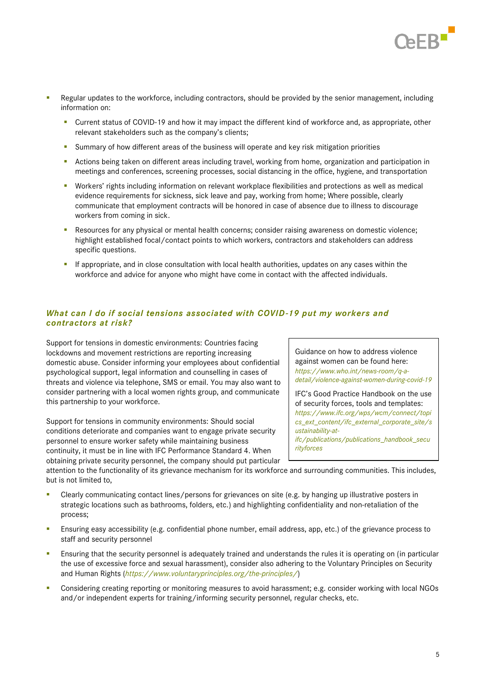

- **•** Regular updates to the workforce, including contractors, should be provided by the senior management, including information on:
	- Current status of COVID-19 and how it may impact the different kind of workforce and, as appropriate, other relevant stakeholders such as the company's clients;
	- Summary of how different areas of the business will operate and key risk mitigation priorities
	- Actions being taken on different areas including travel, working from home, organization and participation in meetings and conferences, screening processes, social distancing in the office, hygiene, and transportation
	- Workers' rights including information on relevant workplace flexibilities and protections as well as medical evidence requirements for sickness, sick leave and pay, working from home; Where possible, clearly communicate that employment contracts will be honored in case of absence due to illness to discourage workers from coming in sick.
	- Resources for any physical or mental health concerns; consider raising awareness on domestic violence; highlight established focal/contact points to which workers, contractors and stakeholders can address specific questions.
	- If appropriate, and in close consultation with local health authorities, updates on any cases within the workforce and advice for anyone who might have come in contact with the affected individuals.

# *What can I do if social tensions associated with COVID-19 put my workers and contractors at risk?*

Support for tensions in domestic environments: Countries facing lockdowns and movement restrictions are reporting increasing domestic abuse. Consider informing your employees about confidential psychological support, legal information and counselling in cases of threats and violence via telephone, SMS or email. You may also want to consider partnering with a local women rights group, and communicate this partnership to your workforce.

Support for tensions in community environments: Should social conditions deteriorate and companies want to engage private security personnel to ensure worker safety while maintaining business continuity, it must be in line with IFC Performance Standard 4. When obtaining private security personnel, the company should put particular

Guidance on how to address violence against women can be found here: *[https://www.who.int/news-room/q-a](https://www.who.int/news-room/q-a-detail/violence-against-women-during-covid-19)[detail/violence-against-women-during-covid-19](https://www.who.int/news-room/q-a-detail/violence-against-women-during-covid-19)*

IFC's Good Practice Handbook on the use of security forces, tools and templates: *[https://www.ifc.org/wps/wcm/connect/topi](https://www.ifc.org/wps/wcm/connect/topics_ext_content/ifc_external_corporate_site/sustainability-at-ifc/publications/publications_handbook_securityforces) [cs\\_ext\\_content/ifc\\_external\\_corporate\\_site/s](https://www.ifc.org/wps/wcm/connect/topics_ext_content/ifc_external_corporate_site/sustainability-at-ifc/publications/publications_handbook_securityforces) [ustainability-at](https://www.ifc.org/wps/wcm/connect/topics_ext_content/ifc_external_corporate_site/sustainability-at-ifc/publications/publications_handbook_securityforces)[ifc/publications/publications\\_handbook\\_secu](https://www.ifc.org/wps/wcm/connect/topics_ext_content/ifc_external_corporate_site/sustainability-at-ifc/publications/publications_handbook_securityforces)*

*[rityforces](https://www.ifc.org/wps/wcm/connect/topics_ext_content/ifc_external_corporate_site/sustainability-at-ifc/publications/publications_handbook_securityforces)*

attention to the functionality of its grievance mechanism for its workforce and surrounding communities. This includes, but is not limited to,

- Clearly communicating contact lines/persons for grievances on site (e.g. by hanging up illustrative posters in strategic locations such as bathrooms, folders, etc.) and highlighting confidentiality and non-retaliation of the process;
- **E** Ensuring easy accessibility (e.g. confidential phone number, email address, app, etc.) of the grievance process to staff and security personnel
- Ensuring that the security personnel is adequately trained and understands the rules it is operating on (in particular the use of excessive force and sexual harassment), consider also adhering to the Voluntary Principles on Security and Human Rights (*<https://www.voluntaryprinciples.org/the-principles/>*)
- Considering creating reporting or monitoring measures to avoid harassment; e.g. consider working with local NGOs and/or independent experts for training/informing security personnel, regular checks, etc.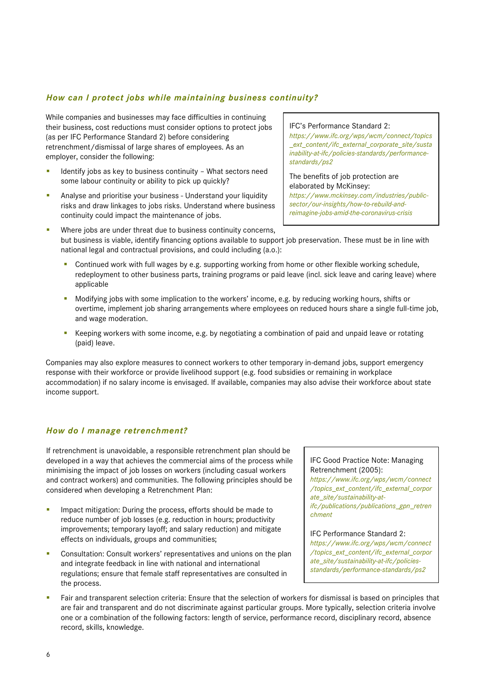# *How can I protect jobs while maintaining business continuity?*

While companies and businesses may face difficulties in continuing their business, cost reductions must consider options to protect jobs (as per IFC Performance Standard 2) before considering retrenchment/dismissal of large shares of employees. As an employer, consider the following:

- Identify jobs as key to business continuity What sectors need some labour continuity or ability to pick up quickly?
- Analyse and prioritise your business Understand your liquidity risks and draw linkages to jobs risks. Understand where business continuity could impact the maintenance of jobs.
- Where jobs are under threat due to business continuity concerns, but business is viable, identify financing options available to support job preservation. These must be in line with national legal and contractual provisions, and could including (a.o.):
	- Continued work with full wages by e.g. supporting working from home or other flexible working schedule, redeployment to other business parts, training programs or paid leave (incl. sick leave and caring leave) where applicable
	- Modifying jobs with some implication to the workers' income, e.g. by reducing working hours, shifts or overtime, implement job sharing arrangements where employees on reduced hours share a single full-time job, and wage moderation.
	- Keeping workers with some income, e.g. by negotiating a combination of paid and unpaid leave or rotating (paid) leave.

Companies may also explore measures to connect workers to other temporary in-demand jobs, support emergency response with their workforce or provide livelihood support (e.g. food subsidies or remaining in workplace accommodation) if no salary income is envisaged. If available, companies may also advise their workforce about state income support.

# *How do I manage retrenchment?*

If retrenchment is unavoidable, a responsible retrenchment plan should be developed in a way that achieves the commercial aims of the process while minimising the impact of job losses on workers (including casual workers and contract workers) and communities. The following principles should be considered when developing a Retrenchment Plan:

- Impact mitigation: During the process, efforts should be made to reduce number of job losses (e.g. reduction in hours; productivity improvements; temporary layoff; and salary reduction) and mitigate effects on individuals, groups and communities;
- Consultation: Consult workers' representatives and unions on the plan and integrate feedback in line with national and international regulations; ensure that female staff representatives are consulted in the process.

## IFC Good Practice Note: Managing Retrenchment (2005):

*[https://www.ifc.org/wps/wcm/connect](https://www.ifc.org/wps/wcm/connect/topics_ext_content/ifc_external_corporate_site/sustainability-at-ifc/publications/publications_gpn_retrenchment) [/topics\\_ext\\_content/ifc\\_external\\_corpor](https://www.ifc.org/wps/wcm/connect/topics_ext_content/ifc_external_corporate_site/sustainability-at-ifc/publications/publications_gpn_retrenchment) [ate\\_site/sustainability-at](https://www.ifc.org/wps/wcm/connect/topics_ext_content/ifc_external_corporate_site/sustainability-at-ifc/publications/publications_gpn_retrenchment)[ifc/publications/publications\\_gpn\\_retren](https://www.ifc.org/wps/wcm/connect/topics_ext_content/ifc_external_corporate_site/sustainability-at-ifc/publications/publications_gpn_retrenchment) [chment](https://www.ifc.org/wps/wcm/connect/topics_ext_content/ifc_external_corporate_site/sustainability-at-ifc/publications/publications_gpn_retrenchment)*

#### IFC Performance Standard 2:

*[https://www.ifc.org/wps/wcm/connect](https://www.ifc.org/wps/wcm/connect/topics_ext_content/ifc_external_corporate_site/sustainability-at-ifc/policies-standards/performance-standards/ps2) [/topics\\_ext\\_content/ifc\\_external\\_corpor](https://www.ifc.org/wps/wcm/connect/topics_ext_content/ifc_external_corporate_site/sustainability-at-ifc/policies-standards/performance-standards/ps2) [ate\\_site/sustainability-at-ifc/policies](https://www.ifc.org/wps/wcm/connect/topics_ext_content/ifc_external_corporate_site/sustainability-at-ifc/policies-standards/performance-standards/ps2)[standards/performance-standards/ps2](https://www.ifc.org/wps/wcm/connect/topics_ext_content/ifc_external_corporate_site/sustainability-at-ifc/policies-standards/performance-standards/ps2)*

▪ Fair and transparent selection criteria: Ensure that the selection of workers for dismissal is based on principles that are fair and transparent and do not discriminate against particular groups. More typically, selection criteria involve one or a combination of the following factors: length of service, performance record, disciplinary record, absence record, skills, knowledge.

#### IFC's Performance Standard 2:

*[https://www.ifc.org/wps/wcm/connect/topics](https://www.ifc.org/wps/wcm/connect/topics_ext_content/ifc_external_corporate_site/sustainability-at-ifc/policies-standards/performance-standards/ps2) [\\_ext\\_content/ifc\\_external\\_corporate\\_site/susta](https://www.ifc.org/wps/wcm/connect/topics_ext_content/ifc_external_corporate_site/sustainability-at-ifc/policies-standards/performance-standards/ps2) [inability-at-ifc/policies-standards/performance](https://www.ifc.org/wps/wcm/connect/topics_ext_content/ifc_external_corporate_site/sustainability-at-ifc/policies-standards/performance-standards/ps2)[standards/ps2](https://www.ifc.org/wps/wcm/connect/topics_ext_content/ifc_external_corporate_site/sustainability-at-ifc/policies-standards/performance-standards/ps2)*

The benefits of job protection are elaborated by McKinsey:

*[https://www.mckinsey.com/industries/public](https://www.mckinsey.com/industries/public-sector/our-insights/how-to-rebuild-and-reimagine-jobs-amid-the-coronavirus-crisis)[sector/our-insights/how-to-rebuild-and](https://www.mckinsey.com/industries/public-sector/our-insights/how-to-rebuild-and-reimagine-jobs-amid-the-coronavirus-crisis)[reimagine-jobs-amid-the-coronavirus-crisis](https://www.mckinsey.com/industries/public-sector/our-insights/how-to-rebuild-and-reimagine-jobs-amid-the-coronavirus-crisis)*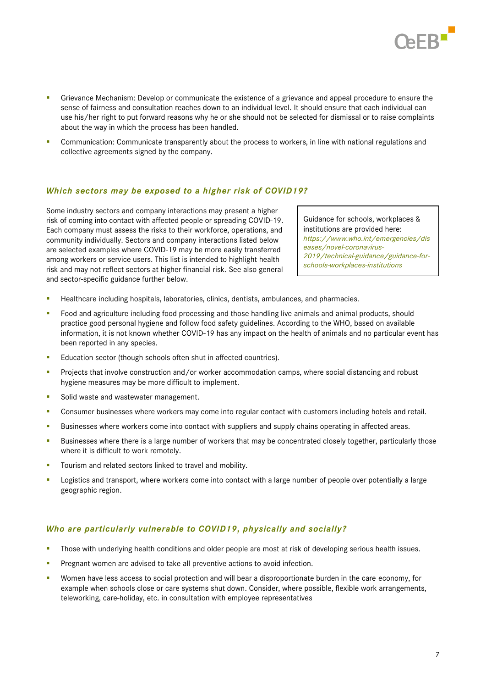

- **•** Grievance Mechanism: Develop or communicate the existence of a grievance and appeal procedure to ensure the sense of fairness and consultation reaches down to an individual level. It should ensure that each individual can use his/her right to put forward reasons why he or she should not be selected for dismissal or to raise complaints about the way in which the process has been handled.
- Communication: Communicate transparently about the process to workers, in line with national regulations and collective agreements signed by the company.

## *Which sectors may be exposed to a higher risk of COVID19?*

Some industry sectors and company interactions may present a higher risk of coming into contact with affected people or spreading COVID-19. Each company must assess the risks to their workforce, operations, and community individually. Sectors and company interactions listed below are selected examples where COVID-19 may be more easily transferred among workers or service users. This list is intended to highlight health risk and may not reflect sectors at higher financial risk. See also general and sector-specific guidance further below.

Guidance for schools, workplaces & institutions are provided here: *https://www.who.int/emergencies/dis eases/novel-coronavirus-2019/technical-guidance/guidance-forschools-workplaces-institutions*

- Healthcare including hospitals, laboratories, clinics, dentists, ambulances, and pharmacies.
- **•** Food and agriculture including food processing and those handling live animals and animal products, should practice good personal hygiene and follow food safety guidelines. According to the WHO, based on available information, it is not known whether COVID-19 has any impact on the health of animals and no particular event has been reported in any species.
- Education sector (though schools often shut in affected countries).
- Projects that involve construction and/or worker accommodation camps, where social distancing and robust hygiene measures may be more difficult to implement.
- Solid waste and wastewater management.
- **•** Consumer businesses where workers may come into regular contact with customers including hotels and retail.
- **EXECTE SUBSIDERTY BUSINESS ENDIFIERT** Businesses where workers come into contact with suppliers and supply chains operating in affected areas.
- Businesses where there is a large number of workers that may be concentrated closely together, particularly those where it is difficult to work remotely.
- Tourism and related sectors linked to travel and mobility.
- Logistics and transport, where workers come into contact with a large number of people over potentially a large geographic region.

#### *Who are particularly vulnerable to COVID19, physically and socially?*

- Those with underlying health conditions and older people are most at risk of developing serious health issues.
- **•** Pregnant women are advised to take all preventive actions to avoid infection.
- Women have less access to social protection and will bear a disproportionate burden in the care economy, for example when schools close or care systems shut down. Consider, where possible, flexible work arrangements, teleworking, care-holiday, etc. in consultation with employee representatives